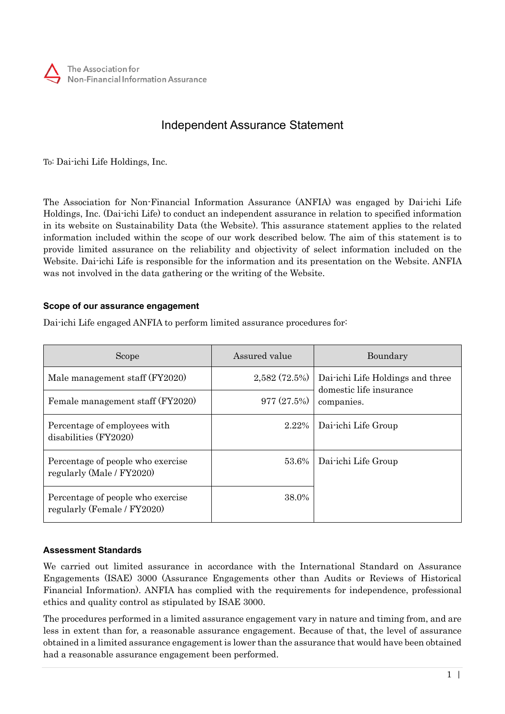

# Independent Assurance Statement

To: Dai-ichi Life Holdings, Inc.

The Association for Non-Financial Information Assurance (ANFIA) was engaged by Dai-ichi Life Holdings, Inc. (Dai-ichi Life) to conduct an independent assurance in relation to specified information in its website on Sustainability Data (the Website). This assurance statement applies to the related information included within the scope of our work described below. The aim of this statement is to provide limited assurance on the reliability and objectivity of select information included on the Website. Dai-ichi Life is responsible for the information and its presentation on the Website. ANFIA was not involved in the data gathering or the writing of the Website.

## **Scope of our assurance engagement**

Dai-ichi Life engaged ANFIA to perform limited assurance procedures for:

| Scope                                                            | Assured value | Boundary                                                                  |
|------------------------------------------------------------------|---------------|---------------------------------------------------------------------------|
| Male management staff (FY2020)                                   | 2,582(72.5%)  | Dai-ichi Life Holdings and three<br>domestic life insurance<br>companies. |
| Female management staff (FY2020)                                 | 977(27.5%)    |                                                                           |
| Percentage of employees with<br>disabilities (FY2020)            | $2.22\%$      | Dai-ichi Life Group                                                       |
| Percentage of people who exercise<br>regularly (Male / FY2020)   | 53.6%         | Dai-ichi Life Group                                                       |
| Percentage of people who exercise<br>regularly (Female / FY2020) | 38.0%         |                                                                           |

#### **Assessment Standards**

We carried out limited assurance in accordance with the International Standard on Assurance Engagements (ISAE) 3000 (Assurance Engagements other than Audits or Reviews of Historical Financial Information). ANFIA has complied with the requirements for independence, professional ethics and quality control as stipulated by ISAE 3000.

The procedures performed in a limited assurance engagement vary in nature and timing from, and are less in extent than for, a reasonable assurance engagement. Because of that, the level of assurance obtained in a limited assurance engagement is lower than the assurance that would have been obtained had a reasonable assurance engagement been performed.